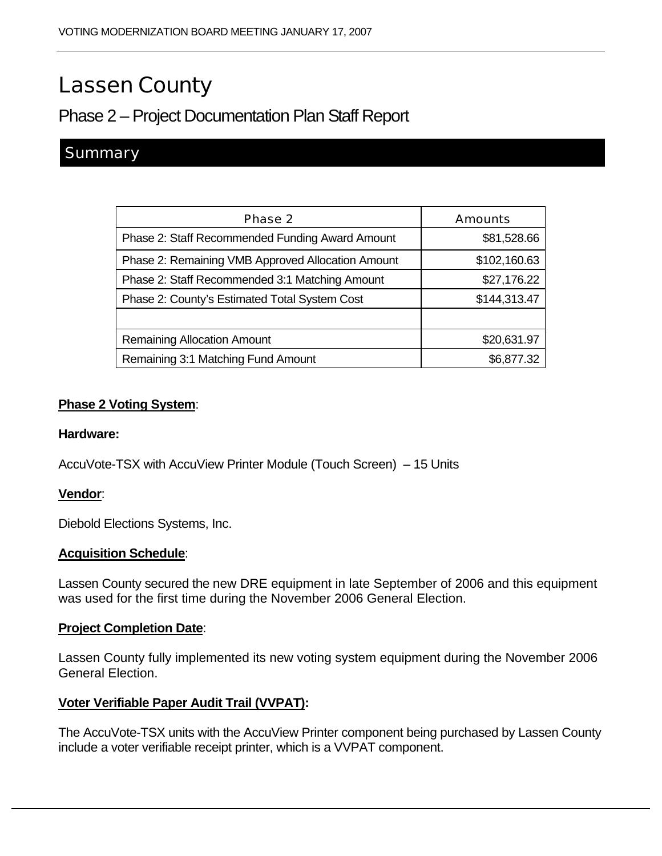# Lassen County

## Phase 2 – Project Documentation Plan Staff Report

### **Summary**

| <b>Phase 2</b>                                    | <b>Amounts</b> |
|---------------------------------------------------|----------------|
| Phase 2: Staff Recommended Funding Award Amount   | \$81,528.66    |
| Phase 2: Remaining VMB Approved Allocation Amount | \$102,160.63   |
| Phase 2: Staff Recommended 3:1 Matching Amount    | \$27,176.22    |
| Phase 2: County's Estimated Total System Cost     | \$144,313.47   |
|                                                   |                |
| <b>Remaining Allocation Amount</b>                | \$20,631.97    |
| Remaining 3:1 Matching Fund Amount                | \$6,877.32     |

#### **Phase 2 Voting System**:

#### **Hardware:**

AccuVote-TSX with AccuView Printer Module (Touch Screen) – 15 Units

#### **Vendor**:

Diebold Elections Systems, Inc.

#### **Acquisition Schedule**:

Lassen County secured the new DRE equipment in late September of 2006 and this equipment was used for the first time during the November 2006 General Election.

#### **Project Completion Date**:

Lassen County fully implemented its new voting system equipment during the November 2006 General Election.

#### **Voter Verifiable Paper Audit Trail (VVPAT):**

The AccuVote-TSX units with the AccuView Printer component being purchased by Lassen County include a voter verifiable receipt printer, which is a VVPAT component.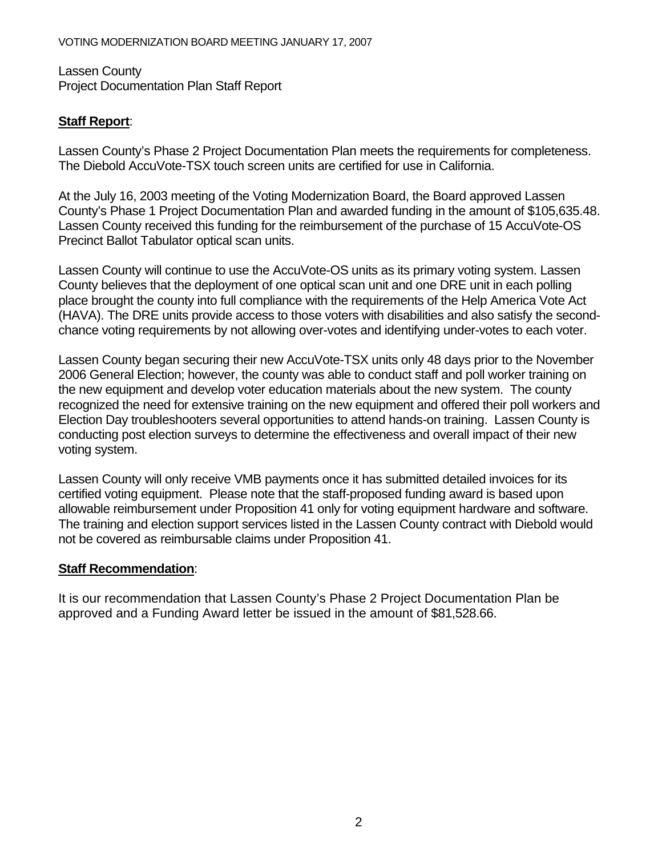Lassen County Project Documentation Plan Staff Report

#### **Staff Report**:

Lassen County's Phase 2 Project Documentation Plan meets the requirements for completeness. The Diebold AccuVote-TSX touch screen units are certified for use in California.

At the July 16, 2003 meeting of the Voting Modernization Board, the Board approved Lassen County's Phase 1 Project Documentation Plan and awarded funding in the amount of \$105,635.48. Lassen County received this funding for the reimbursement of the purchase of 15 AccuVote-OS Precinct Ballot Tabulator optical scan units.

Lassen County will continue to use the AccuVote-OS units as its primary voting system. Lassen County believes that the deployment of one optical scan unit and one DRE unit in each polling place brought the county into full compliance with the requirements of the Help America Vote Act (HAVA). The DRE units provide access to those voters with disabilities and also satisfy the secondchance voting requirements by not allowing over-votes and identifying under-votes to each voter.

Lassen County began securing their new AccuVote-TSX units only 48 days prior to the November 2006 General Election; however, the county was able to conduct staff and poll worker training on the new equipment and develop voter education materials about the new system. The county recognized the need for extensive training on the new equipment and offered their poll workers and Election Day troubleshooters several opportunities to attend hands-on training. Lassen County is conducting post election surveys to determine the effectiveness and overall impact of their new voting system.

Lassen County will only receive VMB payments once it has submitted detailed invoices for its certified voting equipment. Please note that the staff-proposed funding award is based upon allowable reimbursement under Proposition 41 only for voting equipment hardware and software. The training and election support services listed in the Lassen County contract with Diebold would not be covered as reimbursable claims under Proposition 41.

#### **Staff Recommendation**:

It is our recommendation that Lassen County's Phase 2 Project Documentation Plan be approved and a Funding Award letter be issued in the amount of \$81,528.66.